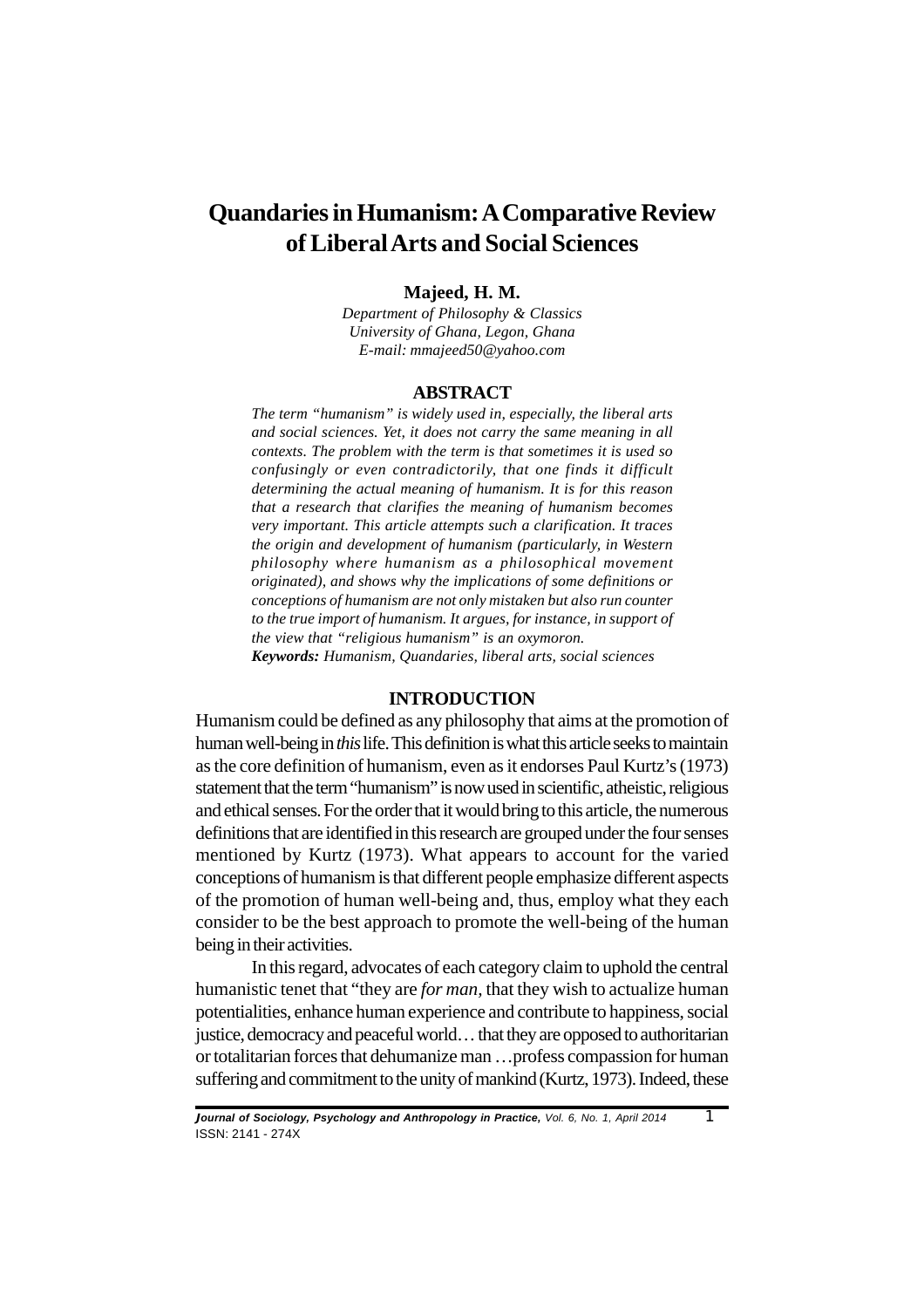# **Quandaries in Humanism: A Comparative Review of Liberal Arts and Social Sciences**

## **Majeed, H. M.**

*Department of Philosophy & Classics University of Ghana, Legon, Ghana E-mail: mmajeed50@yahoo.com*

#### **ABSTRACT**

*The term "humanism" is widely used in, especially, the liberal arts and social sciences. Yet, it does not carry the same meaning in all contexts. The problem with the term is that sometimes it is used so confusingly or even contradictorily, that one finds it difficult determining the actual meaning of humanism. It is for this reason that a research that clarifies the meaning of humanism becomes very important. This article attempts such a clarification. It traces the origin and development of humanism (particularly, in Western philosophy where humanism as a philosophical movement originated), and shows why the implications of some definitions or conceptions of humanism are not only mistaken but also run counter to the true import of humanism. It argues, for instance, in support of the view that "religious humanism" is an oxymoron. Keywords: Humanism, Quandaries, liberal arts, social sciences*

## **INTRODUCTION**

Humanism could be defined as any philosophy that aims at the promotion of human well-being in *this* life. This definition is what this article seeks to maintain as the core definition of humanism, even as it endorses Paul Kurtz's (1973) statement that the term "humanism" is now used in scientific, atheistic, religious and ethical senses. For the order that it would bring to this article, the numerous definitions that are identified in this research are grouped under the four senses mentioned by Kurtz (1973). What appears to account for the varied conceptions of humanism is that different people emphasize different aspects of the promotion of human well-being and, thus, employ what they each consider to be the best approach to promote the well-being of the human being in their activities.

In this regard, advocates of each category claim to uphold the central humanistic tenet that "they are *for man,* that they wish to actualize human potentialities, enhance human experience and contribute to happiness, social justice, democracy and peaceful world… that they are opposed to authoritarian or totalitarian forces that dehumanize man …profess compassion for human suffering and commitment to the unity of mankind (Kurtz, 1973). Indeed, these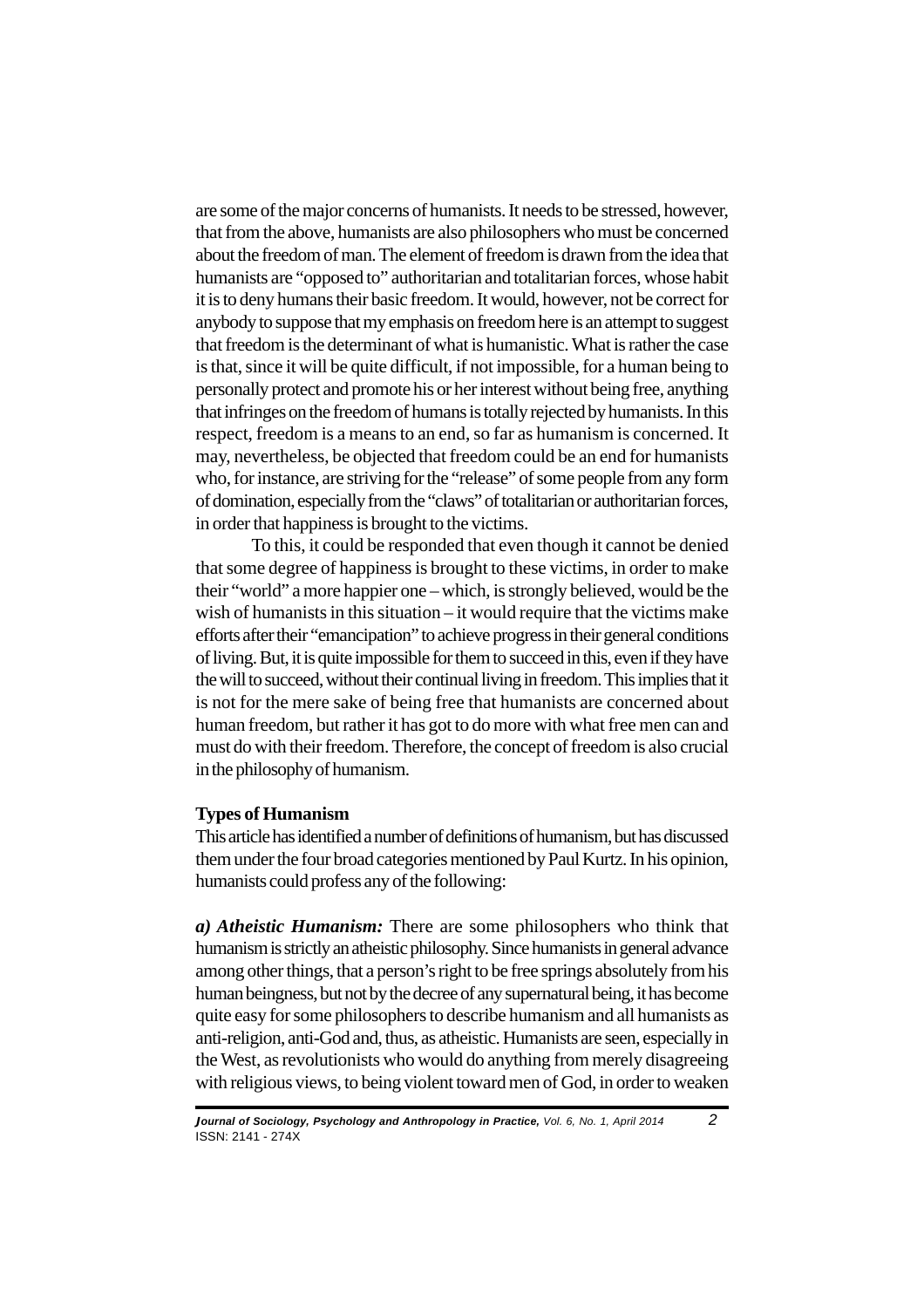are some of the major concerns of humanists. It needs to be stressed, however, that from the above, humanists are also philosophers who must be concerned about the freedom of man. The element of freedom is drawn from the idea that humanists are "opposed to" authoritarian and totalitarian forces, whose habit it is to deny humans their basic freedom. It would, however, not be correct for anybody to suppose that my emphasis on freedom here is an attempt to suggest that freedom is the determinant of what is humanistic. What is rather the case is that, since it will be quite difficult, if not impossible, for a human being to personally protect and promote his or her interest without being free, anything that infringes on the freedom of humans is totally rejected by humanists. In this respect, freedom is a means to an end, so far as humanism is concerned. It may, nevertheless, be objected that freedom could be an end for humanists who, for instance, are striving for the "release" of some people from any form of domination, especially from the "claws" of totalitarian or authoritarian forces, in order that happiness is brought to the victims.

To this, it could be responded that even though it cannot be denied that some degree of happiness is brought to these victims, in order to make their "world" a more happier one – which, is strongly believed, would be the wish of humanists in this situation – it would require that the victims make efforts after their "emancipation" to achieve progress in their general conditions of living. But, it is quite impossible for them to succeed in this, even if they have the will to succeed, without their continual living in freedom. This implies that it is not for the mere sake of being free that humanists are concerned about human freedom, but rather it has got to do more with what free men can and must do with their freedom. Therefore, the concept of freedom is also crucial in the philosophy of humanism.

#### **Types of Humanism**

This article has identified a number of definitions of humanism, but has discussed them under the four broad categories mentioned by Paul Kurtz. In his opinion, humanists could profess any of the following:

*a) Atheistic Humanism:* There are some philosophers who think that humanism is strictly an atheistic philosophy. Since humanists in general advance among other things, that a person's right to be free springs absolutely from his human beingness, but not by the decree of any supernatural being, it has become quite easy for some philosophers to describe humanism and all humanists as anti-religion, anti-God and, thus, as atheistic. Humanists are seen, especially in the West, as revolutionists who would do anything from merely disagreeing with religious views, to being violent toward men of God, in order to weaken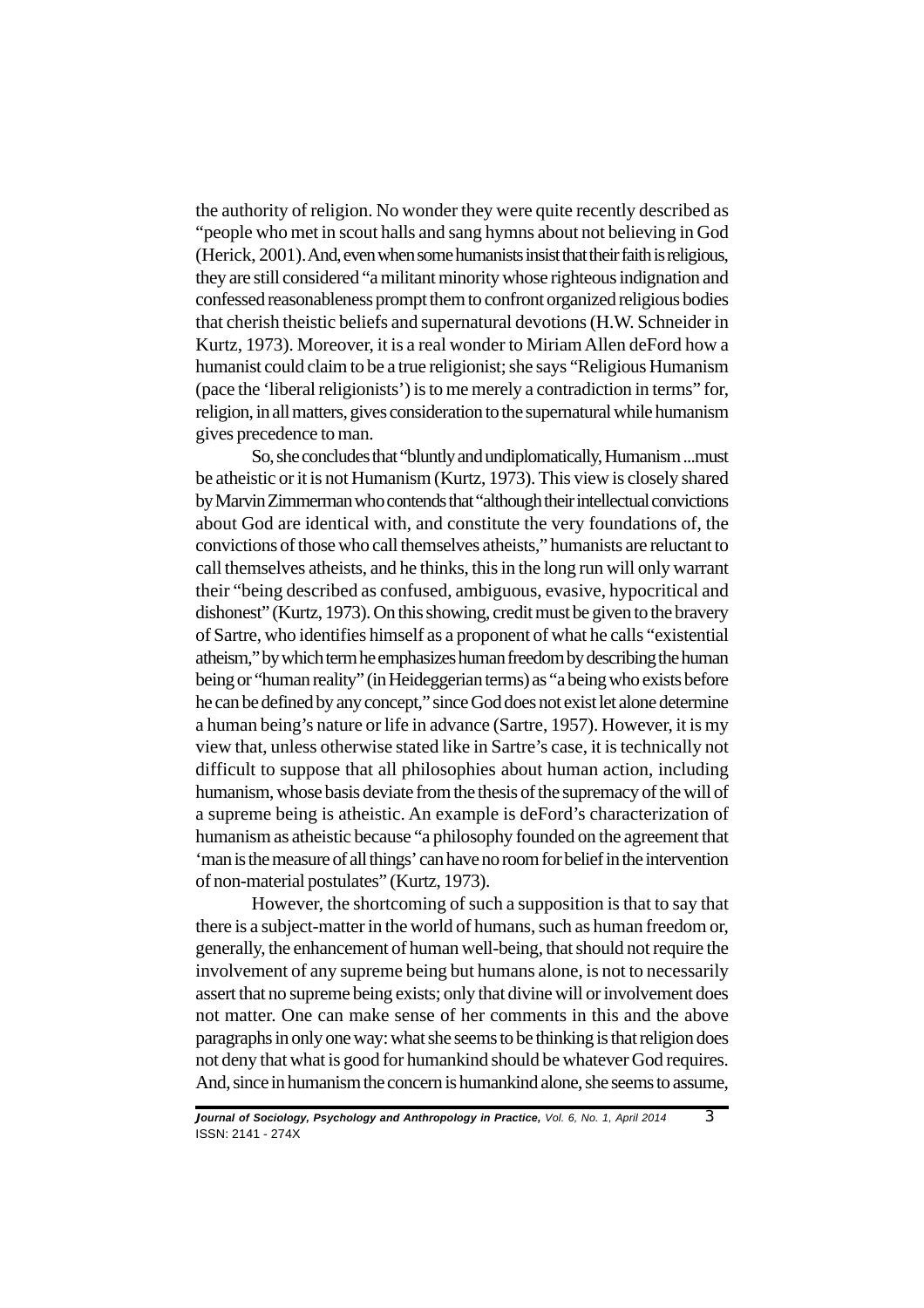the authority of religion. No wonder they were quite recently described as "people who met in scout halls and sang hymns about not believing in God (Herick, 2001).And, even when some humanists insist that their faith is religious, they are still considered "a militant minority whose righteous indignation and confessed reasonableness prompt them to confront organized religious bodies that cherish theistic beliefs and supernatural devotions (H.W. Schneider in Kurtz, 1973). Moreover, it is a real wonder to Miriam Allen deFord how a humanist could claim to be a true religionist; she says "Religious Humanism (pace the 'liberal religionists') is to me merely a contradiction in terms" for, religion, in all matters, gives consideration to the supernatural while humanism gives precedence to man.

So, she concludes that "bluntly and undiplomatically, Humanism ...must be atheistic or it is not Humanism (Kurtz, 1973). This view is closely shared by Marvin Zimmerman who contends that "although their intellectual convictions about God are identical with, and constitute the very foundations of, the convictions of those who call themselves atheists," humanists are reluctant to call themselves atheists, and he thinks, this in the long run will only warrant their "being described as confused, ambiguous, evasive, hypocritical and dishonest" (Kurtz, 1973). On this showing, credit must be given to the bravery of Sartre, who identifies himself as a proponent of what he calls "existential atheism," by which term he emphasizes human freedom by describing the human being or "human reality" (in Heideggerian terms) as "a being who exists before he can be defined by any concept," since God does not exist let alone determine a human being's nature or life in advance (Sartre, 1957). However, it is my view that, unless otherwise stated like in Sartre's case, it is technically not difficult to suppose that all philosophies about human action, including humanism, whose basis deviate from the thesis of the supremacy of the will of a supreme being is atheistic. An example is deFord's characterization of humanism as atheistic because "a philosophy founded on the agreement that 'man is the measure of all things' can have no room for belief in the intervention of non-material postulates" (Kurtz, 1973).

However, the shortcoming of such a supposition is that to say that there is a subject-matter in the world of humans, such as human freedom or, generally, the enhancement of human well-being, that should not require the involvement of any supreme being but humans alone, is not to necessarily assert that no supreme being exists; only that divine will or involvement does not matter. One can make sense of her comments in this and the above paragraphs in only one way: what she seems to be thinking is that religion does not deny that what is good for humankind should be whatever God requires. And, since in humanism the concern is humankind alone, she seems to assume,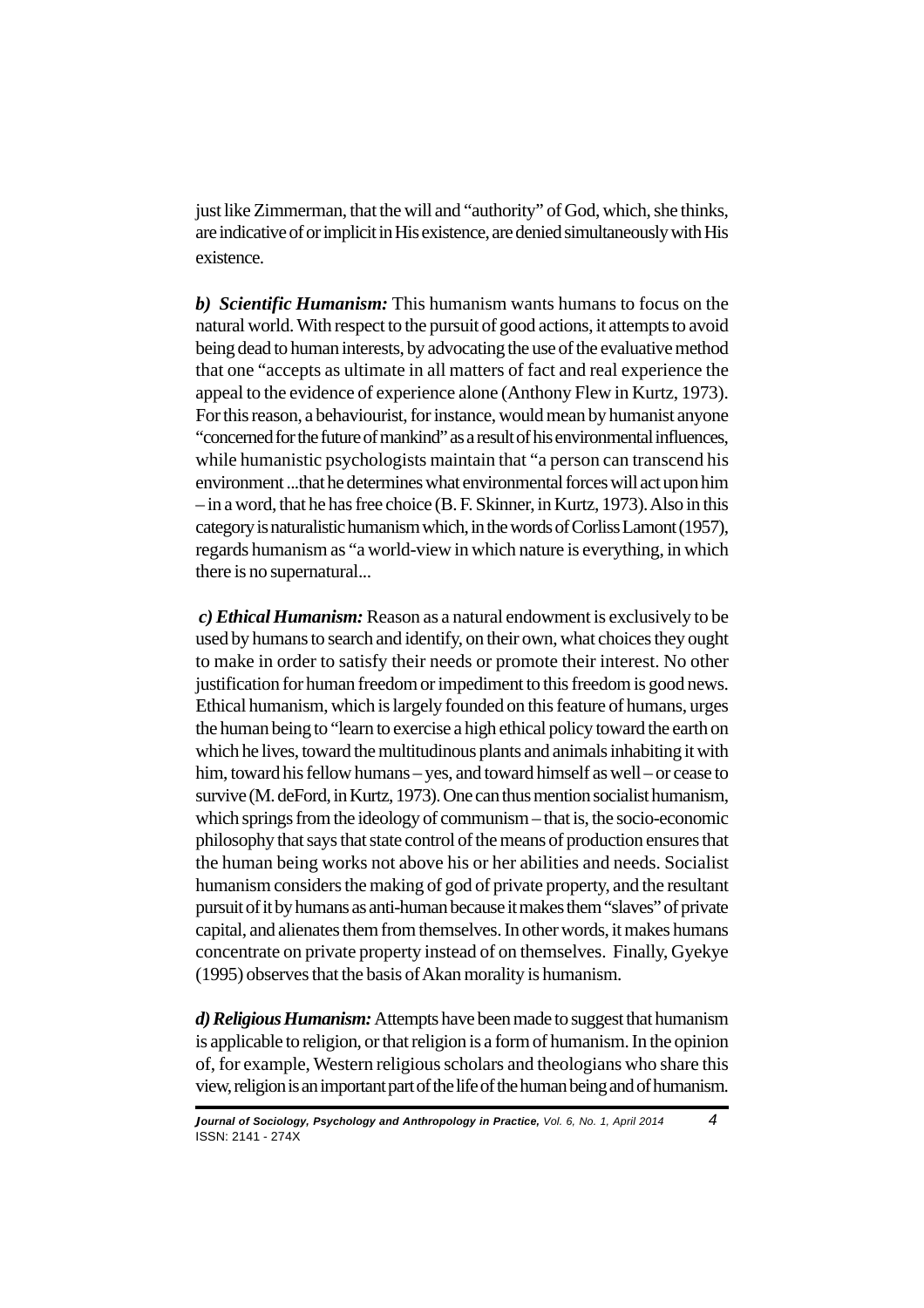just like Zimmerman, that the will and "authority" of God, which, she thinks, are indicative of or implicit in His existence, are denied simultaneously with His existence.

*b)**Scientific Humanism:* This humanism wants humans to focus on the natural world. With respect to the pursuit of good actions, it attempts to avoid being dead to human interests, by advocating the use of the evaluative method that one "accepts as ultimate in all matters of fact and real experience the appeal to the evidence of experience alone (Anthony Flew in Kurtz, 1973). For this reason, a behaviourist, for instance, would mean by humanist anyone "concerned for the future of mankind" as a result of his environmental influences, while humanistic psychologists maintain that "a person can transcend his environment ...that he determines what environmental forces will act upon him – in a word, that he has free choice (B. F. Skinner, in Kurtz, 1973). Also in this category is naturalistic humanism which, in the words of Corliss Lamont (1957), regards humanism as "a world-view in which nature is everything, in which there is no supernatural...

 *c) Ethical Humanism:* Reason as a natural endowment is exclusively to be used by humans to search and identify, on their own, what choices they ought to make in order to satisfy their needs or promote their interest. No other justification for human freedom or impediment to this freedom is good news. Ethical humanism, which is largely founded on this feature of humans, urges the human being to "learn to exercise a high ethical policy toward the earth on which he lives, toward the multitudinous plants and animals inhabiting it with him, toward his fellow humans – yes, and toward himself as well – or cease to survive (M. deFord, in Kurtz, 1973). One can thus mention socialist humanism, which springs from the ideology of communism – that is, the socio-economic philosophy that says that state control of the means of production ensures that the human being works not above his or her abilities and needs. Socialist humanism considers the making of god of private property, and the resultant pursuit of it by humans as anti-human because it makes them "slaves" of private capital, and alienates them from themselves. In other words, it makes humans concentrate on private property instead of on themselves. Finally, Gyekye (1995) observes that the basis of Akan morality is humanism.

*d) Religious Humanism:*Attempts have been made to suggest that humanism is applicable to religion, or that religion is a form of humanism. In the opinion of, for example, Western religious scholars and theologians who share this view, religion is an important part of the life of the human being and of humanism.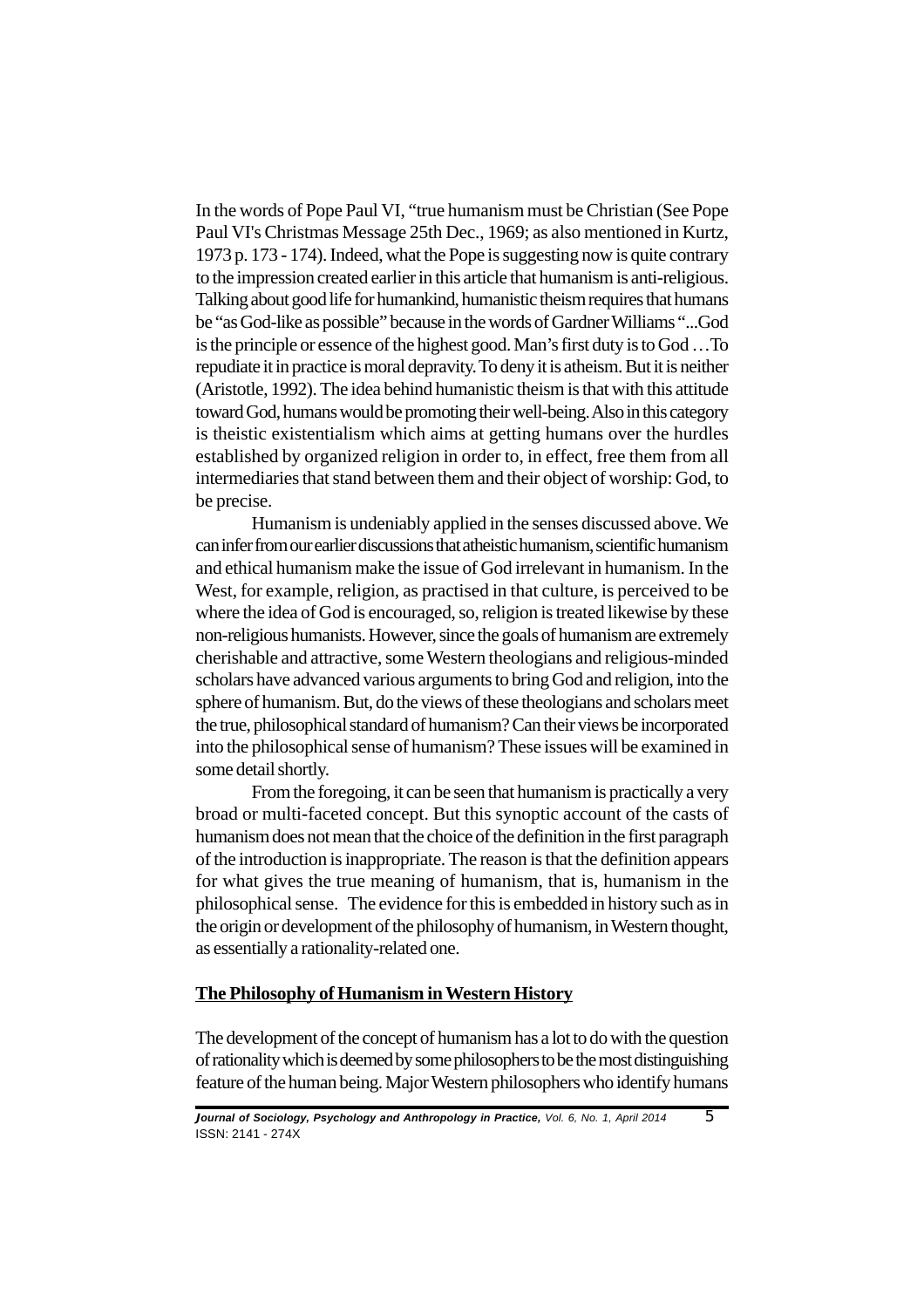In the words of Pope Paul VI, "true humanism must be Christian (See Pope Paul VI's Christmas Message 25th Dec., 1969; as also mentioned in Kurtz, 1973 p. 173 - 174). Indeed, what the Pope is suggesting now is quite contrary to the impression created earlier in this article that humanism is anti-religious. Talking about good life for humankind, humanistic theism requires that humans be "as God-like as possible" because in the words of Gardner Williams "...God is the principle or essence of the highest good. Man's first duty is to God …To repudiate it in practice is moral depravity. To deny it is atheism. But it is neither (Aristotle, 1992). The idea behind humanistic theism is that with this attitude toward God, humans would be promoting their well-being. Also in this category is theistic existentialism which aims at getting humans over the hurdles established by organized religion in order to, in effect, free them from all intermediaries that stand between them and their object of worship: God, to be precise.

Humanism is undeniably applied in the senses discussed above. We can infer from our earlier discussions that atheistic humanism, scientific humanism and ethical humanism make the issue of God irrelevant in humanism. In the West, for example, religion, as practised in that culture, is perceived to be where the idea of God is encouraged, so, religion is treated likewise by these non-religious humanists. However, since the goals of humanism are extremely cherishable and attractive, some Western theologians and religious-minded scholars have advanced various arguments to bring God and religion, into the sphere of humanism. But, do the views of these theologians and scholars meet the true, philosophical standard of humanism? Can their views be incorporated into the philosophical sense of humanism? These issues will be examined in some detail shortly.

From the foregoing, it can be seen that humanism is practically a very broad or multi-faceted concept. But this synoptic account of the casts of humanism does not mean that the choice of the definition in the first paragraph of the introduction is inappropriate. The reason is that the definition appears for what gives the true meaning of humanism, that is, humanism in the philosophical sense. The evidence for this is embedded in history such as in the origin or development of the philosophy of humanism, in Western thought, as essentially a rationality-related one.

# **The Philosophy of Humanism in Western History**

The development of the concept of humanism has a lot to do with the question of rationality which is deemed by some philosophers to be the most distinguishing feature of the human being. Major Western philosophers who identify humans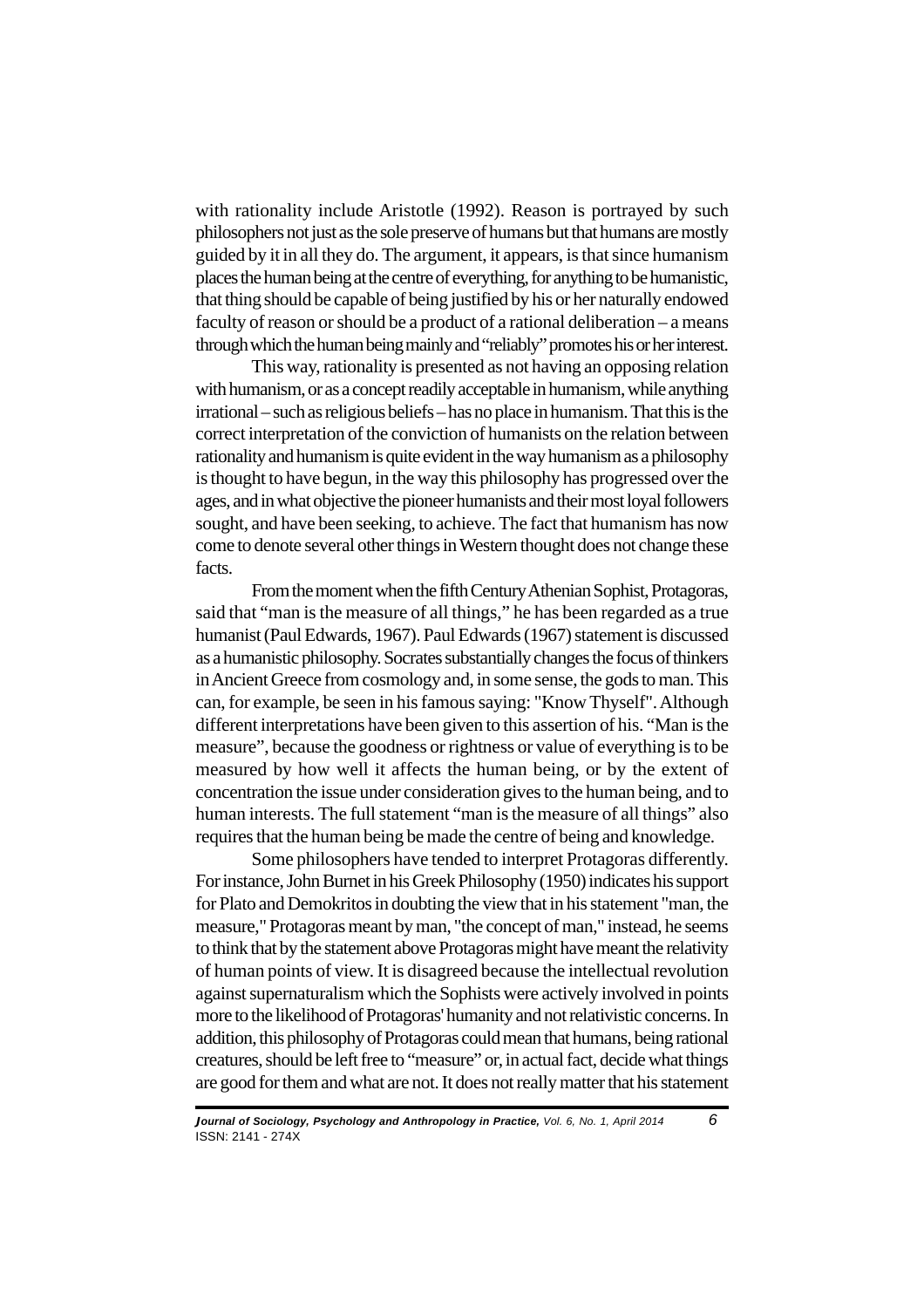with rationality include Aristotle (1992). Reason is portrayed by such philosophers not just as the sole preserve of humans but that humans are mostly guided by it in all they do. The argument, it appears, is that since humanism places the human being at the centre of everything, for anything to be humanistic, that thing should be capable of being justified by his or her naturally endowed faculty of reason or should be a product of a rational deliberation – a means through which the human being mainly and "reliably" promotes his or her interest.

This way, rationality is presented as not having an opposing relation with humanism, or as a concept readily acceptable in humanism, while anything irrational – such as religious beliefs – has no place in humanism. That this is the correct interpretation of the conviction of humanists on the relation between rationality and humanism is quite evident in the way humanism as a philosophy is thought to have begun, in the way this philosophy has progressed over the ages, and in what objective the pioneer humanists and their most loyal followers sought, and have been seeking, to achieve. The fact that humanism has now come to denote several other things in Western thought does not change these facts.

From the moment when the fifth Century Athenian Sophist, Protagoras, said that "man is the measure of all things," he has been regarded as a true humanist (Paul Edwards, 1967). Paul Edwards (1967) statement is discussed as a humanistic philosophy. Socrates substantially changes the focus of thinkers in Ancient Greece from cosmology and, in some sense, the gods to man. This can, for example, be seen in his famous saying: "Know Thyself". Although different interpretations have been given to this assertion of his. "Man is the measure", because the goodness or rightness or value of everything is to be measured by how well it affects the human being, or by the extent of concentration the issue under consideration gives to the human being, and to human interests. The full statement "man is the measure of all things" also requires that the human being be made the centre of being and knowledge.

Some philosophers have tended to interpret Protagoras differently. For instance, John Burnet in his Greek Philosophy (1950) indicates his support for Plato and Demokritos in doubting the view that in his statement "man, the measure," Protagoras meant by man, "the concept of man," instead, he seems to think that by the statement above Protagoras might have meant the relativity of human points of view. It is disagreed because the intellectual revolution against supernaturalism which the Sophists were actively involved in points more to the likelihood of Protagoras' humanity and not relativistic concerns. In addition, this philosophy of Protagoras could mean that humans, being rational creatures, should be left free to "measure" or, in actual fact, decide what things are good for them and what are not. It does not really matter that his statement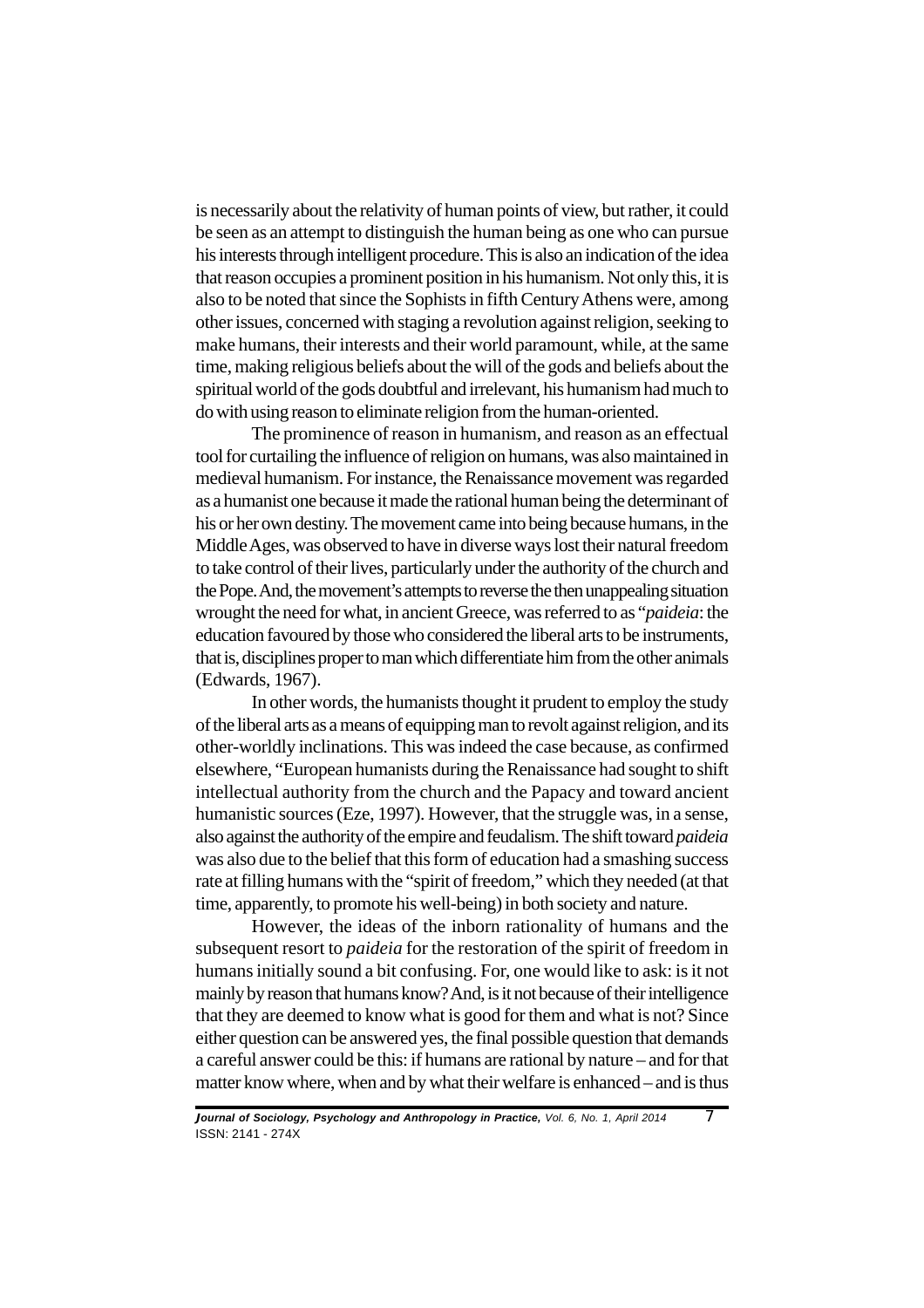is necessarily about the relativity of human points of view, but rather, it could be seen as an attempt to distinguish the human being as one who can pursue his interests through intelligent procedure. This is also an indication of the idea that reason occupies a prominent position in his humanism. Not only this, it is also to be noted that since the Sophists in fifth Century Athens were, among other issues, concerned with staging a revolution against religion, seeking to make humans, their interests and their world paramount, while, at the same time, making religious beliefs about the will of the gods and beliefs about the spiritual world of the gods doubtful and irrelevant, his humanism had much to do with using reason to eliminate religion from the human-oriented.

The prominence of reason in humanism, and reason as an effectual tool for curtailing the influence of religion on humans, was also maintained in medieval humanism. For instance, the Renaissance movement was regarded as a humanist one because it made the rational human being the determinant of his or her own destiny. The movement came into being because humans, in the Middle Ages, was observed to have in diverse ways lost their natural freedom to take control of their lives, particularly under the authority of the church and the Pope. And, the movement's attempts to reverse the then unappealing situation wrought the need for what, in ancient Greece, was referred to as "*paideia*: the education favoured by those who considered the liberal arts to be instruments, that is, disciplines proper to man which differentiate him from the other animals (Edwards, 1967).

In other words, the humanists thought it prudent to employ the study of the liberal arts as a means of equipping man to revolt against religion, and its other-worldly inclinations. This was indeed the case because, as confirmed elsewhere, "European humanists during the Renaissance had sought to shift intellectual authority from the church and the Papacy and toward ancient humanistic sources (Eze, 1997). However, that the struggle was, in a sense, also against the authority of the empire and feudalism. The shift toward *paideia* was also due to the belief that this form of education had a smashing success rate at filling humans with the "spirit of freedom," which they needed (at that time, apparently, to promote his well-being) in both society and nature.

However, the ideas of the inborn rationality of humans and the subsequent resort to *paideia* for the restoration of the spirit of freedom in humans initially sound a bit confusing. For, one would like to ask: is it not mainly by reason that humans know? And, is it not because of their intelligence that they are deemed to know what is good for them and what is not? Since either question can be answered yes, the final possible question that demands a careful answer could be this: if humans are rational by nature – and for that matter know where, when and by what their welfare is enhanced – and is thus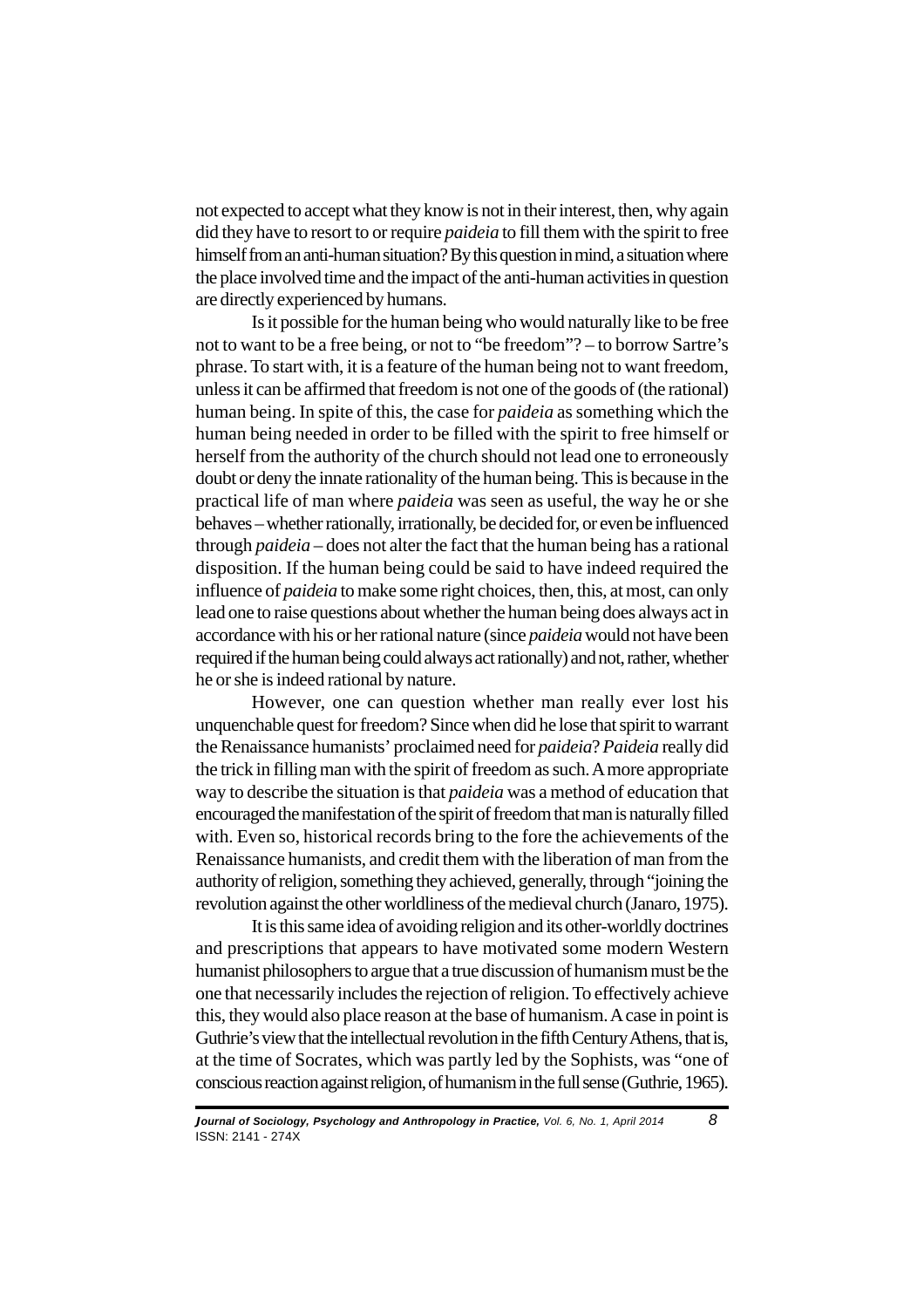not expected to accept what they know is not in their interest, then, why again did they have to resort to or require *paideia* to fill them with the spirit to free himself from an anti-human situation? By this question in mind, a situation where the place involved time and the impact of the anti-human activities in question are directly experienced by humans.

Is it possible for the human being who would naturally like to be free not to want to be a free being, or not to "be freedom"? – to borrow Sartre's phrase. To start with, it is a feature of the human being not to want freedom, unless it can be affirmed that freedom is not one of the goods of (the rational) human being. In spite of this, the case for *paideia* as something which the human being needed in order to be filled with the spirit to free himself or herself from the authority of the church should not lead one to erroneously doubt or deny the innate rationality of the human being. This is because in the practical life of man where *paideia* was seen as useful, the way he or she behaves – whether rationally, irrationally, be decided for, or even be influenced through *paideia* – does not alter the fact that the human being has a rational disposition. If the human being could be said to have indeed required the influence of *paideia* to make some right choices, then, this, at most, can only lead one to raise questions about whether the human being does always act in accordance with his or her rational nature (since *paideia* would not have been required if the human being could always act rationally) and not, rather, whether he or she is indeed rational by nature.

However, one can question whether man really ever lost his unquenchable quest for freedom? Since when did he lose that spirit to warrant the Renaissance humanists' proclaimed need for *paideia*? *Paideia* really did the trick in filling man with the spirit of freedom as such. A more appropriate way to describe the situation is that *paideia* was a method of education that encouraged the manifestation of the spirit of freedom that man is naturally filled with. Even so, historical records bring to the fore the achievements of the Renaissance humanists, and credit them with the liberation of man from the authority of religion, something they achieved, generally, through "joining the revolution against the other worldliness of the medieval church (Janaro, 1975).

It is this same idea of avoiding religion and its other-worldly doctrines and prescriptions that appears to have motivated some modern Western humanist philosophers to argue that a true discussion of humanism must be the one that necessarily includes the rejection of religion. To effectively achieve this, they would also place reason at the base of humanism. A case in point is Guthrie's view that the intellectual revolution in the fifth Century Athens, that is, at the time of Socrates, which was partly led by the Sophists, was "one of conscious reaction against religion, of humanism in the full sense (Guthrie, 1965).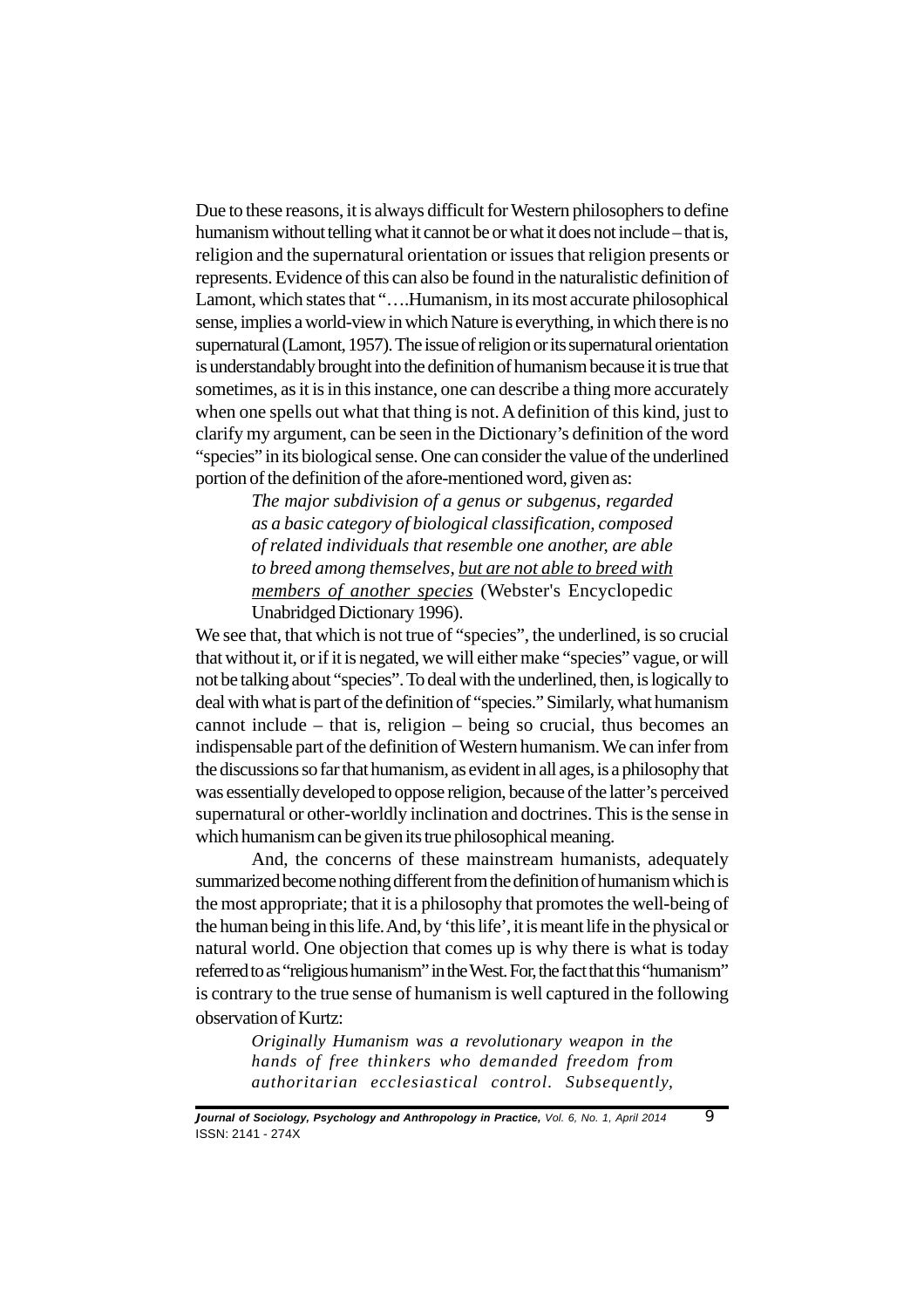Due to these reasons, it is always difficult for Western philosophers to define humanism without telling what it cannot be or what it does not include – that is, religion and the supernatural orientation or issues that religion presents or represents. Evidence of this can also be found in the naturalistic definition of Lamont, which states that "….Humanism, in its most accurate philosophical sense, implies a world-view in which Nature is everything, in which there is no supernatural (Lamont, 1957). The issue of religion or its supernatural orientation is understandably brought into the definition of humanism because it is true that sometimes, as it is in this instance, one can describe a thing more accurately when one spells out what that thing is not. A definition of this kind, just to clarify my argument, can be seen in the Dictionary's definition of the word "species" in its biological sense. One can consider the value of the underlined portion of the definition of the afore-mentioned word, given as:

> *The major subdivision of a genus or subgenus, regarded as a basic category of biological classification, composed of related individuals that resemble one another, are able to breed among themselves, but are not able to breed with members of another species* (Webster's Encyclopedic Unabridged Dictionary 1996).

We see that, that which is not true of "species", the underlined, is so crucial that without it, or if it is negated, we will either make "species" vague, or will not be talking about "species". To deal with the underlined, then, is logically to deal with what is part of the definition of "species." Similarly, what humanism cannot include – that is, religion – being so crucial, thus becomes an indispensable part of the definition of Western humanism. We can infer from the discussions so far that humanism, as evident in all ages, is a philosophy that was essentially developed to oppose religion, because of the latter's perceived supernatural or other-worldly inclination and doctrines. This is the sense in which humanism can be given its true philosophical meaning.

And, the concerns of these mainstream humanists, adequately summarized become nothing different from the definition of humanism which is the most appropriate; that it is a philosophy that promotes the well-being of the human being in this life. And, by 'this life', it is meant life in the physical or natural world. One objection that comes up is why there is what is today referred to as "religious humanism" in the West. For, the fact that this "humanism" is contrary to the true sense of humanism is well captured in the following observation of Kurtz:

> *Originally Humanism was a revolutionary weapon in the hands of free thinkers who demanded freedom from authoritarian ecclesiastical control. Subsequently,*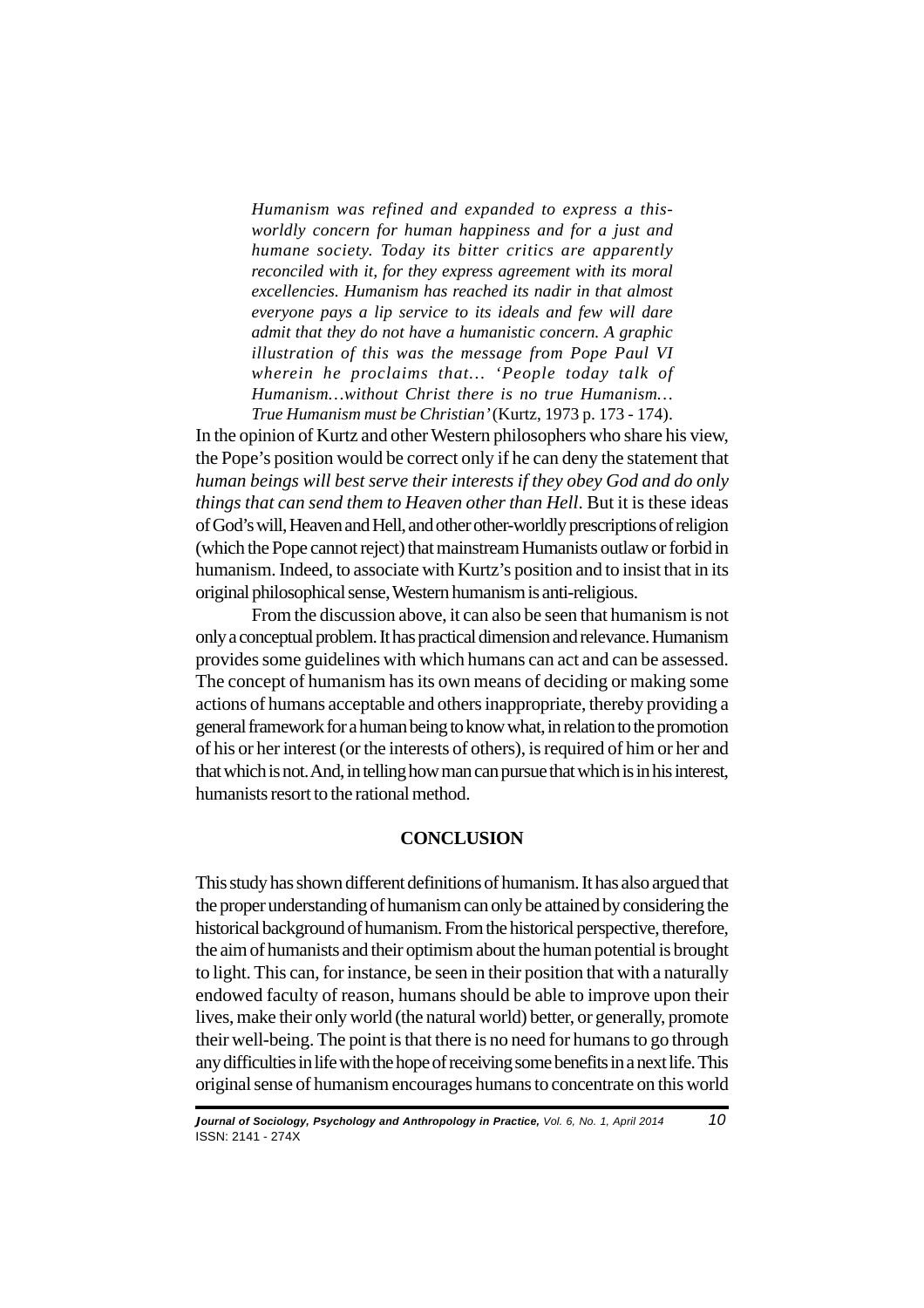*Humanism was refined and expanded to express a thisworldly concern for human happiness and for a just and humane society. Today its bitter critics are apparently reconciled with it, for they express agreement with its moral excellencies. Humanism has reached its nadir in that almost everyone pays a lip service to its ideals and few will dare admit that they do not have a humanistic concern. A graphic illustration of this was the message from Pope Paul VI wherein he proclaims that… 'People today talk of Humanism…without Christ there is no true Humanism… True Humanism must be Christian'* (Kurtz, 1973 p. 173 - 174).

In the opinion of Kurtz and other Western philosophers who share his view, the Pope's position would be correct only if he can deny the statement that *human beings will best serve their interests if they obey God and do only things that can send them to Heaven other than Hell*. But it is these ideas of God's will, Heaven and Hell, and other other-worldly prescriptions of religion (which the Pope cannot reject) that mainstream Humanists outlaw or forbid in humanism. Indeed, to associate with Kurtz's position and to insist that in its original philosophical sense, Western humanism is anti-religious.

From the discussion above, it can also be seen that humanism is not only a conceptual problem. It has practical dimension and relevance. Humanism provides some guidelines with which humans can act and can be assessed. The concept of humanism has its own means of deciding or making some actions of humans acceptable and others inappropriate, thereby providing a general framework for a human being to know what, in relation to the promotion of his or her interest (or the interests of others), is required of him or her and that which is not. And, in telling how man can pursue that which is in his interest, humanists resort to the rational method.

# **CONCLUSION**

This study has shown different definitions of humanism. It has also argued that the proper understanding of humanism can only be attained by considering the historical background of humanism. From the historical perspective, therefore, the aim of humanists and their optimism about the human potential is brought to light. This can, for instance, be seen in their position that with a naturally endowed faculty of reason, humans should be able to improve upon their lives, make their only world (the natural world) better, or generally, promote their well-being. The point is that there is no need for humans to go through any difficulties in life with the hope of receiving some benefits in a next life. This original sense of humanism encourages humans to concentrate on this world